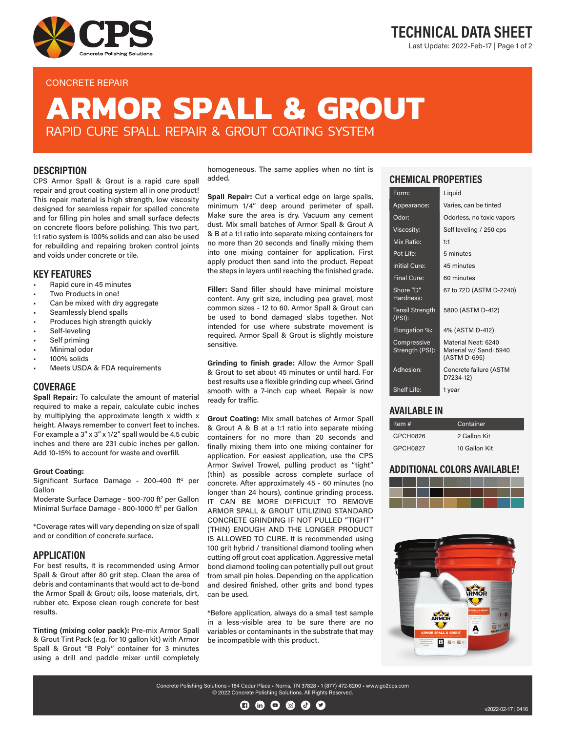

### CONCRETE REPAIR

# TECHNICAL DATA SHEET Last Update: 2022-Feb-17 | Page 1 of 2

# **ARMOR SPALL & GROUT** RAPID CURE SPALL REPAIR & GROUT COATING SYSTEM

### **DESCRIPTION**

CPS Armor Spall & Grout is a rapid cure spall repair and grout coating system all in one product! This repair material is high strength, low viscosity designed for seamless repair for spalled concrete and for filling pin holes and small surface defects on concrete floors before polishing. This two part, 1:1 ratio system is 100% solids and can also be used for rebuilding and repairing broken control joints and voids under concrete or tile.

### KEY FEATURES

- Rapid cure in 45 minutes
- Two Products in one!
- Can be mixed with dry aggregate
- Seamlessly blend spalls
- Produces high strength quickly
- Self-leveling
- Self priming
- Minimal odor
- 100% solids
- Meets USDA & FDA requirements

### COVERAGE

Spall Repair: To calculate the amount of material required to make a repair, calculate cubic inches by multiplying the approximate length x width x height. Always remember to convert feet to inches. For example a 3" x 3" x 1/2" spall would be 4.5 cubic inches and there are 231 cubic inches per gallon. Add 10-15% to account for waste and overfill.

#### Grout Coating:

Significant Surface Damage - 200-400 ft<sup>2</sup> per Gallon

Moderate Surface Damage - 500-700 ft<sup>2</sup> per Gallon Minimal Surface Damage - 800-1000 ft<sup>2</sup> per Gallon

\*Coverage rates will vary depending on size of spall and or condition of concrete surface.

### **APPLICATION**

For best results, it is recommended using Armor Spall & Grout after 80 grit step. Clean the area of debris and contaminants that would act to de-bond the Armor Spall & Grout; oils, loose materials, dirt, rubber etc. Expose clean rough concrete for best results.

Tinting (mixing color pack): Pre-mix Armor Spall & Grout Tint Pack (e.g. for 10 gallon kit) with Armor Spall & Grout "B Poly" container for 3 minutes using a drill and paddle mixer until completely

homogeneous. The same applies when no tint is added.

Spall Repair: Cut a vertical edge on large spalls, minimum 1/4" deep around perimeter of spall. Make sure the area is dry. Vacuum any cement dust. Mix small batches of Armor Spall & Grout A & B at a 1:1 ratio into separate mixing containers for no more than 20 seconds and finally mixing them into one mixing container for application. First apply product then sand into the product. Repeat the steps in layers until reaching the finished grade.

Filler: Sand filler should have minimal moisture content. Any grit size, including pea gravel, most common sizes - 12 to 60. Armor Spall & Grout can be used to bond damaged slabs together. Not intended for use where substrate movement is required. Armor Spall & Grout is slightly moisture sensitive.

Grinding to finish grade: Allow the Armor Spall & Grout to set about 45 minutes or until hard. For best results use a flexible grinding cup wheel. Grind smooth with a 7-inch cup wheel. Repair is now ready for traffic.

Grout Coating: Mix small batches of Armor Spall & Grout A & B at a 1:1 ratio into separate mixing containers for no more than 20 seconds and finally mixing them into one mixing container for application. For easiest application, use the CPS Armor Swivel Trowel, pulling product as "tight" (thin) as possible across complete surface of concrete. After approximately 45 - 60 minutes (no longer than 24 hours), continue grinding process. IT CAN BE MORE DIFFICULT TO REMOVE ARMOR SPALL & GROUT UTILIZING STANDARD CONCRETE GRINDING IF NOT PULLED "TIGHT" (THIN) ENOUGH AND THE LONGER PRODUCT IS ALLOWED TO CURE. It is recommended using 100 grit hybrid / transitional diamond tooling when cutting off grout coat application. Aggressive metal bond diamond tooling can potentially pull out grout from small pin holes. Depending on the application and desired finished, other grits and bond types can be used.

\*Before application, always do a small test sample in a less-visible area to be sure there are no variables or contaminants in the substrate that may be incompatible with this product.

## CHEMICAL PROPERTIES

| Form:                            | Liguid                                                        |
|----------------------------------|---------------------------------------------------------------|
| Appearance:                      | Varies, can be tinted                                         |
| Odor:                            | Odorless, no toxic vapors                                     |
| Viscosity:                       | Self leveling / 250 cps                                       |
| Mix Ratio:                       | 1:1                                                           |
| Pot Life:                        | 5 minutes                                                     |
| <b>Initial Cure:</b>             | 45 minutes                                                    |
| <b>Final Cure:</b>               | 60 minutes                                                    |
| Shore "D"<br>Hardness:           | 67 to 72D (ASTM D-2240)                                       |
| <b>Tensil Strength</b><br>(PSI): | 5800 (ASTM D-412)                                             |
| Elongation %:                    | 4% (ASTM D-412)                                               |
| Compressive<br>Strength (PSI):   | Material Neat: 6240<br>Material w/ Sand: 5940<br>(ASTM D-695) |
| Adhesion:                        | Concrete failure (ASTM<br>D7234-12)                           |
| Shelf Life:                      | 1 year                                                        |

### AVAILABLE IN

| Item $#$ | Container     |
|----------|---------------|
| GPCH0826 | 2 Gallon Kit  |
| GPCH0827 | 10 Gallon Kit |

### ADDITIONAL COLORS AVAILABLE!





Concrete Polishing Solutions • 184 Cedar Place • Norris, TN 37828 • 1 (877) 472-8200 • www.go2cps.com © 2022 Concrete Polishing Solutions. All Rights Reserved.